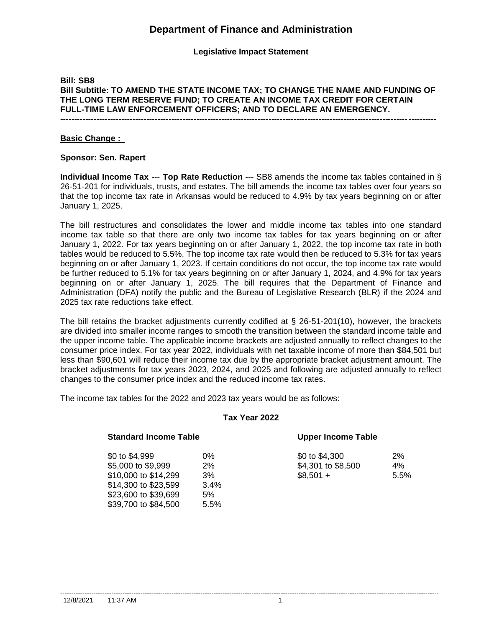**Legislative Impact Statement**

## **Bill: SB8 Bill Subtitle: TO AMEND THE STATE INCOME TAX; TO CHANGE THE NAME AND FUNDING OF THE LONG TERM RESERVE FUND; TO CREATE AN INCOME TAX CREDIT FOR CERTAIN FULL-TIME LAW ENFORCEMENT OFFICERS; AND TO DECLARE AN EMERGENCY.**

**---------------------------------------------------------------------------------------------------------------------------------------**

#### **Basic Change :**

#### **Sponsor: Sen. Rapert**

**Individual Income Tax** --- **Top Rate Reduction** --- SB8 amends the income tax tables contained in § 26-51-201 for individuals, trusts, and estates. The bill amends the income tax tables over four years so that the top income tax rate in Arkansas would be reduced to 4.9% by tax years beginning on or after January 1, 2025.

The bill restructures and consolidates the lower and middle income tax tables into one standard income tax table so that there are only two income tax tables for tax years beginning on or after January 1, 2022. For tax years beginning on or after January 1, 2022, the top income tax rate in both tables would be reduced to 5.5%. The top income tax rate would then be reduced to 5.3% for tax years beginning on or after January 1, 2023. If certain conditions do not occur, the top income tax rate would be further reduced to 5.1% for tax years beginning on or after January 1, 2024, and 4.9% for tax years beginning on or after January 1, 2025. The bill requires that the Department of Finance and Administration (DFA) notify the public and the Bureau of Legislative Research (BLR) if the 2024 and 2025 tax rate reductions take effect.

The bill retains the bracket adjustments currently codified at  $\S$  26-51-201(10), however, the brackets are divided into smaller income ranges to smooth the transition between the standard income table and the upper income table. The applicable income brackets are adjusted annually to reflect changes to the consumer price index. For tax year 2022, individuals with net taxable income of more than \$84,501 but less than \$90,601 will reduce their income tax due by the appropriate bracket adjustment amount. The bracket adjustments for tax years 2023, 2024, and 2025 and following are adjusted annually to reflect changes to the consumer price index and the reduced income tax rates.

The income tax tables for the 2022 and 2023 tax years would be as follows:

#### **Tax Year 2022**

| <b>Standard Income Table</b> |      | <b>Upper Income Table</b> |      |
|------------------------------|------|---------------------------|------|
| \$0 to \$4,999               | 0%   | \$0 to \$4,300            | 2%   |
| \$5,000 to \$9,999           | 2%   | \$4,301 to \$8,500        | 4%   |
| \$10,000 to \$14,299         | 3%   | $$8.501 +$                | 5.5% |
| \$14,300 to \$23,599         | 3.4% |                           |      |
| \$23,600 to \$39,699         | 5%   |                           |      |
| \$39,700 to \$84,500         | 5.5% |                           |      |

--------------------------------------------------------------------------------------------------------------------------------------------------------------------------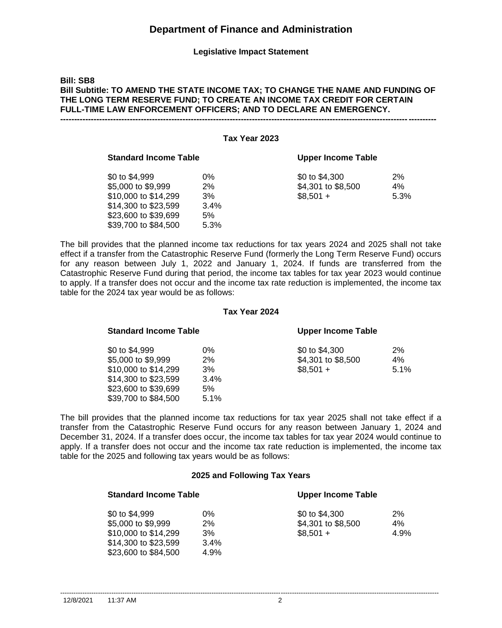**Legislative Impact Statement**

### **Bill: SB8 Bill Subtitle: TO AMEND THE STATE INCOME TAX; TO CHANGE THE NAME AND FUNDING OF THE LONG TERM RESERVE FUND; TO CREATE AN INCOME TAX CREDIT FOR CERTAIN FULL-TIME LAW ENFORCEMENT OFFICERS; AND TO DECLARE AN EMERGENCY. ---------------------------------------------------------------------------------------------------------------------------------------**

| Tax Year 2023 |                              |       |                    |      |
|---------------|------------------------------|-------|--------------------|------|
|               | <b>Standard Income Table</b> |       | Upper Income Table |      |
|               | \$0 to \$4,999               | $0\%$ | \$0 to \$4,300     | 2%   |
|               | \$5,000 to \$9,999           | 2%    | \$4,301 to \$8,500 | 4%   |
|               | \$10,000 to \$14,299         | 3%    | $$8,501 +$         | 5.3% |
|               | \$14,300 to \$23,599         | 3.4%  |                    |      |
|               | \$23,600 to \$39,699         | 5%    |                    |      |
|               | \$39,700 to \$84,500         | 5.3%  |                    |      |

The bill provides that the planned income tax reductions for tax years 2024 and 2025 shall not take effect if a transfer from the Catastrophic Reserve Fund (formerly the Long Term Reserve Fund) occurs for any reason between July 1, 2022 and January 1, 2024. If funds are transferred from the Catastrophic Reserve Fund during that period, the income tax tables for tax year 2023 would continue to apply. If a transfer does not occur and the income tax rate reduction is implemented, the income tax table for the 2024 tax year would be as follows:

#### **Tax Year 2024**

| <b>Standard Income Table</b>                                                                                                         |                                         | <b>Upper Income Table</b>                          |                  |
|--------------------------------------------------------------------------------------------------------------------------------------|-----------------------------------------|----------------------------------------------------|------------------|
| \$0 to \$4,999<br>\$5,000 to \$9,999<br>\$10,000 to \$14,299<br>\$14,300 to \$23,599<br>\$23,600 to \$39,699<br>\$39,700 to \$84,500 | $0\%$<br>2%<br>3%<br>3.4%<br>5%<br>5.1% | \$0 to \$4,300<br>\$4,301 to \$8,500<br>$$8,501 +$ | 2%<br>4%<br>5.1% |
|                                                                                                                                      |                                         |                                                    |                  |

The bill provides that the planned income tax reductions for tax year 2025 shall not take effect if a transfer from the Catastrophic Reserve Fund occurs for any reason between January 1, 2024 and December 31, 2024. If a transfer does occur, the income tax tables for tax year 2024 would continue to apply. If a transfer does not occur and the income tax rate reduction is implemented, the income tax table for the 2025 and following tax years would be as follows:

#### **2025 and Following Tax Years**

| <b>Standard Income Table</b> |      | <b>Upper Income Table</b> |      |
|------------------------------|------|---------------------------|------|
| \$0 to \$4,999               | 0%   | \$0 to \$4,300            | 2%   |
| \$5,000 to \$9,999           | 2%   | \$4,301 to \$8,500        | 4%   |
| \$10,000 to \$14,299         | 3%   | $$8.501 +$                | 4.9% |
| \$14,300 to \$23,599         | 3.4% |                           |      |
| \$23,600 to \$84,500         | 4.9% |                           |      |

--------------------------------------------------------------------------------------------------------------------------------------------------------------------------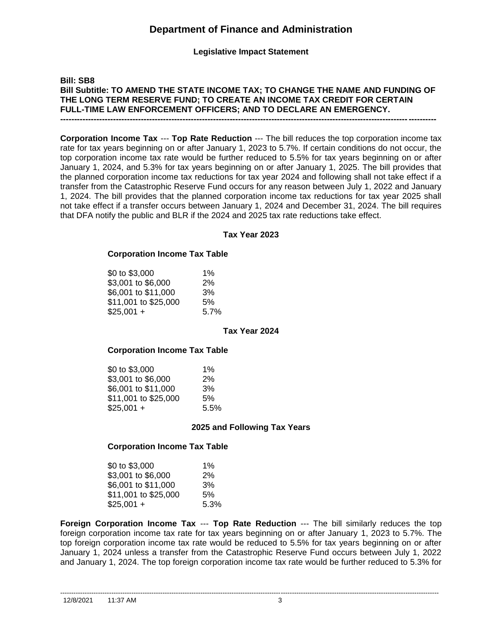**Legislative Impact Statement**

## **Bill: SB8 Bill Subtitle: TO AMEND THE STATE INCOME TAX; TO CHANGE THE NAME AND FUNDING OF THE LONG TERM RESERVE FUND; TO CREATE AN INCOME TAX CREDIT FOR CERTAIN FULL-TIME LAW ENFORCEMENT OFFICERS; AND TO DECLARE AN EMERGENCY. ---------------------------------------------------------------------------------------------------------------------------------------**

**Corporation Income Tax** --- **Top Rate Reduction** --- The bill reduces the top corporation income tax rate for tax years beginning on or after January 1, 2023 to 5.7%. If certain conditions do not occur, the top corporation income tax rate would be further reduced to 5.5% for tax years beginning on or after January 1, 2024, and 5.3% for tax years beginning on or after January 1, 2025. The bill provides that the planned corporation income tax reductions for tax year 2024 and following shall not take effect if a transfer from the Catastrophic Reserve Fund occurs for any reason between July 1, 2022 and January 1, 2024. The bill provides that the planned corporation income tax reductions for tax year 2025 shall not take effect if a transfer occurs between January 1, 2024 and December 31, 2024. The bill requires that DFA notify the public and BLR if the 2024 and 2025 tax rate reductions take effect.

### **Tax Year 2023**

### **Corporation Income Tax Table**

| \$0 to \$3,000       | $1\%$ |
|----------------------|-------|
| \$3,001 to \$6,000   | 2%    |
| \$6,001 to \$11,000  | 3%    |
| \$11,001 to \$25,000 | .5%   |
| $$25,001 +$          | 5.7%  |
|                      |       |

#### **Tax Year 2024**

#### **Corporation Income Tax Table**

| \$0 to \$3,000       | $1\%$ |
|----------------------|-------|
| \$3,001 to \$6,000   | 2%    |
| \$6,001 to \$11,000  | 3%    |
| \$11,001 to \$25,000 | 5%    |
| $$25,001 +$          | 5.5%  |

#### **2025 and Following Tax Years**

#### **Corporation Income Tax Table**

| \$0 to \$3,000       | $1\%$ |
|----------------------|-------|
| \$3,001 to \$6,000   | 2%    |
| \$6.001 to \$11,000  | 3%    |
| \$11,001 to \$25,000 | 5%    |
| $$25,001 +$          | 5.3%  |

**Foreign Corporation Income Tax** --- **Top Rate Reduction** --- The bill similarly reduces the top foreign corporation income tax rate for tax years beginning on or after January 1, 2023 to 5.7%. The top foreign corporation income tax rate would be reduced to 5.5% for tax years beginning on or after January 1, 2024 unless a transfer from the Catastrophic Reserve Fund occurs between July 1, 2022 and January 1, 2024. The top foreign corporation income tax rate would be further reduced to 5.3% for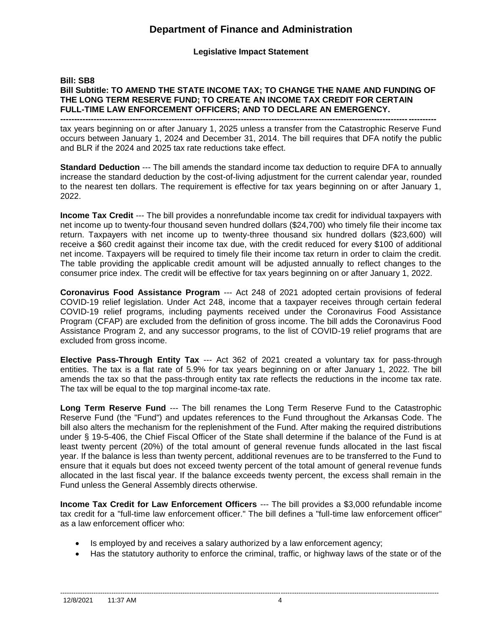**Legislative Impact Statement**

## **Bill: SB8 Bill Subtitle: TO AMEND THE STATE INCOME TAX; TO CHANGE THE NAME AND FUNDING OF THE LONG TERM RESERVE FUND; TO CREATE AN INCOME TAX CREDIT FOR CERTAIN FULL-TIME LAW ENFORCEMENT OFFICERS; AND TO DECLARE AN EMERGENCY.**

**---------------------------------------------------------------------------------------------------------------------------------------**

tax years beginning on or after January 1, 2025 unless a transfer from the Catastrophic Reserve Fund occurs between January 1, 2024 and December 31, 2014. The bill requires that DFA notify the public and BLR if the 2024 and 2025 tax rate reductions take effect.

**Standard Deduction** --- The bill amends the standard income tax deduction to require DFA to annually increase the standard deduction by the cost-of-living adjustment for the current calendar year, rounded to the nearest ten dollars. The requirement is effective for tax years beginning on or after January 1, 2022.

**Income Tax Credit** --- The bill provides a nonrefundable income tax credit for individual taxpayers with net income up to twenty-four thousand seven hundred dollars (\$24,700) who timely file their income tax return. Taxpayers with net income up to twenty-three thousand six hundred dollars (\$23,600) will receive a \$60 credit against their income tax due, with the credit reduced for every \$100 of additional net income. Taxpayers will be required to timely file their income tax return in order to claim the credit. The table providing the applicable credit amount will be adjusted annually to reflect changes to the consumer price index. The credit will be effective for tax years beginning on or after January 1, 2022.

**Coronavirus Food Assistance Program** --- Act 248 of 2021 adopted certain provisions of federal COVID-19 relief legislation. Under Act 248, income that a taxpayer receives through certain federal COVID-19 relief programs, including payments received under the Coronavirus Food Assistance Program (CFAP) are excluded from the definition of gross income. The bill adds the Coronavirus Food Assistance Program 2, and any successor programs, to the list of COVID-19 relief programs that are excluded from gross income.

**Elective Pass-Through Entity Tax** --- Act 362 of 2021 created a voluntary tax for pass-through entities. The tax is a flat rate of 5.9% for tax years beginning on or after January 1, 2022. The bill amends the tax so that the pass-through entity tax rate reflects the reductions in the income tax rate. The tax will be equal to the top marginal income-tax rate.

**Long Term Reserve Fund** --- The bill renames the Long Term Reserve Fund to the Catastrophic Reserve Fund (the "Fund") and updates references to the Fund throughout the Arkansas Code. The bill also alters the mechanism for the replenishment of the Fund. After making the required distributions under § 19-5-406, the Chief Fiscal Officer of the State shall determine if the balance of the Fund is at least twenty percent (20%) of the total amount of general revenue funds allocated in the last fiscal year. If the balance is less than twenty percent, additional revenues are to be transferred to the Fund to ensure that it equals but does not exceed twenty percent of the total amount of general revenue funds allocated in the last fiscal year. If the balance exceeds twenty percent, the excess shall remain in the Fund unless the General Assembly directs otherwise.

**Income Tax Credit for Law Enforcement Officers** --- The bill provides a \$3,000 refundable income tax credit for a "full-time law enforcement officer." The bill defines a "full-time law enforcement officer" as a law enforcement officer who:

- Is employed by and receives a salary authorized by a law enforcement agency;
- Has the statutory authority to enforce the criminal, traffic, or highway laws of the state or of the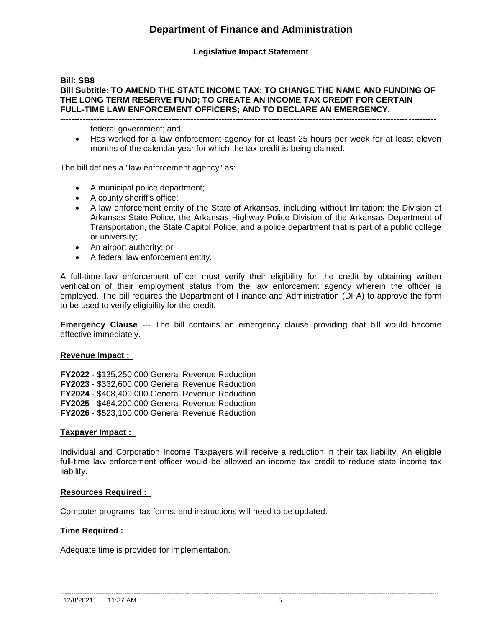## **Legislative Impact Statement**

## **Bill: SB8 Bill Subtitle: TO AMEND THE STATE INCOME TAX; TO CHANGE THE NAME AND FUNDING OF THE LONG TERM RESERVE FUND; TO CREATE AN INCOME TAX CREDIT FOR CERTAIN FULL-TIME LAW ENFORCEMENT OFFICERS; AND TO DECLARE AN EMERGENCY.**

**---------------------------------------------------------------------------------------------------------------------------------------**

federal government; and

• Has worked for a law enforcement agency for at least 25 hours per week for at least eleven months of the calendar year for which the tax credit is being claimed.

The bill defines a "law enforcement agency" as:

- A municipal police department;
- A county sheriff's office;
- A law enforcement entity of the State of Arkansas, including without limitation: the Division of Arkansas State Police, the Arkansas Highway Police Division of the Arkansas Department of Transportation, the State Capitol Police, and a police department that is part of a public college or university;
- An airport authority; or
- A federal law enforcement entity.

A full-time law enforcement officer must verify their eligibility for the credit by obtaining written verification of their employment status from the law enforcement agency wherein the officer is employed. The bill requires the Department of Finance and Administration (DFA) to approve the form to be used to verify eligibility for the credit.

**Emergency Clause** --- The bill contains an emergency clause providing that bill would become effective immediately.

## **Revenue Impact :**

**FY2022** - \$135,250,000 General Revenue Reduction **FY2023** - \$332,600,000 General Revenue Reduction **FY2024** - \$408,400,000 General Revenue Reduction **FY2025** - \$484,200,000 General Revenue Reduction **FY2026** - \$523,100,000 General Revenue Reduction

## **Taxpayer Impact :**

Individual and Corporation Income Taxpayers will receive a reduction in their tax liability. An eligible full-time law enforcement officer would be allowed an income tax credit to reduce state income tax liability.

## **Resources Required :**

Computer programs, tax forms, and instructions will need to be updated.

## **Time Required :**

Adequate time is provided for implementation.